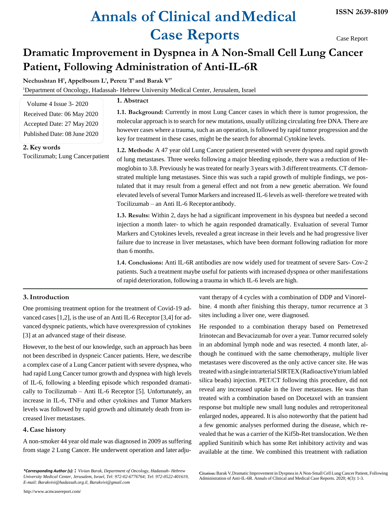# **Annals of Clinical andMedical Case Reports**

Case Report

# **Dramatic Improvement in Dyspnea in A Non-Small Cell Lung Cancer Patient, Following Administration of Anti-IL-6R**

**Nechushtan H<sup>1</sup> , Appelboum L<sup>1</sup> , Peretz T<sup>1</sup>and Barak V1\***

<sup>1</sup>Department of Oncology, Hadassah- Hebrew University Medical Center, Jerusalem, Israel

| Volume 4 Issue 3-2020        |
|------------------------------|
| Received Date: 06 May 2020   |
| Accepted Date: 27 May 2020   |
| Published Date: 08 June 2020 |

**2.Key words** Tocilizumab; Lung Cancerpatient **1. Abstract**

**1.1. Background:** Currently in most Lung Cancer cases in which there is tumor progression, the molecular approach isto search for new mutations, usually utilizing circulating free DNA. There are however cases where a trauma, such as an operation, is followed by rapid tumor progression and the key for treatment in these cases, might be the search for abnormal Cytokine levels.

**1.2. Methods:** A 47 year old Lung Cancer patient presented with severe dyspnea and rapid growth of lung metastases. Three weeks following a major bleeding episode, there was a reduction of Hemoglobin to 3.8. Previously he wastreated for nearly 3 years with 3 different treatments. CT demonstrated multiple lung metastases. Since this was such a rapid growth of multiple findings, we postulated that it may result from a general effect and not from a new genetic aberration. We found elevated levels of several Tumor Markers and increased IL-6 levels as well- therefore we treated with Tocilizumab – an Anti IL-6 Receptorantibody.

**1.3. Results:** Within 2, days he had a significant improvement in his dyspnea but needed a second injection a month later- to which he again responded dramatically. Evaluation of several Tumor Markers and Cytokines levels, revealed a great increase in their levels and he had progressive liver failure due to increase in liver metastases, which have been dormant following radiation for more than 6 months.

**1.4. Conclusions:** Anti IL-6R antibodies are now widely used for treatment of severe Sars- Cov-2 patients. Such a treatment maybe useful for patients with increased dyspnea or other manifestations of rapid deterioration, following a trauma in which IL-6 levels are high.

# **3.Introduction**

One promising treatment option for the treatment of Covid-19 advanced cases [1,2], is the use of an Anti IL-6 Receptor [3,4] for advanced dyspneic patients, which have overexpression of cytokines [3] at an advanced stage of their disease.

However, to the best of our knowledge, such an approach has been not been described in dyspneic Cancer patients. Here, we describe a complex case of a Lung Cancer patient with severe dyspnea, who had rapid Lung Cancer tumor growth and dyspnea with high levels of IL-6, following a bleeding episode which responded dramatically to Tocilizumab – Anti IL-6 Receptor [5]. Unfortunately, an increase in IL-6, TNFα and other cytokines and Tumor Markers levels was followed by rapid growth and ultimately death from increased liver metastases.

## **4.Case history**

A non-smoker 44 year old male was diagnosed in 2009 as suffering from stage 2 Lung Cancer. He underwent operation and later adju-

*\*Corresponding Author (s):* **:** *Vivian Barak, Department of Oncology, Hadassah- Hebrew University Medical Center, Jerusalem, Israel, Tel: 972-02-6776764; Tel: 972-0522-401619, [E-mail: Barakvivi@hadassah.org.il,](mailto:Barakvivi@hadassah.org.il) [Barakvivi@gmail.com](mailto:Barakvivi@gmail.com)*

vant therapy of 4 cycles with a combination of DDP and Vinorelbine. 4 month after finishing this therapy, tumor recurrence at 3 sites including a liver one, were diagnosed.

He responded to a combination therapy based on Pemetrexed Irinotecan and Bevacizumab for over a year. Tumor recurred solely in an abdominal lymph node and was resected. 4 month later, although he continued with the same chemotherapy, multiple liver metastases were discovered as the only active cancer site. He was treatedwith a single intrarterialSIRTEX(RadioactiveYtriumlabled silica beads) injection. PET/CT following this procedure, did not reveal any increased uptake in the liver metastases. He was than treated with a combination based on Docetaxel with an transient response but multiple new small lung nodules and retroperitoneal enlarged nodes, appeared. It is also noteworthy that the patient had a few genomic analyses performed during the disease, which revealed that he was a carrier of the Kif5b-Ret translocation. We then applied Sunitinib which has some Ret inhibitory activity and was available at the time. We combined this treatment with radiation

**Citation:**Barak V,Dramatic Improvement in Dyspnea in A Non-Small Cell LungCancer Patient, Following Administration of Anti-IL-6R. Annals of Clinical and Medical Case Reports. 2020; 4(3): 1-3.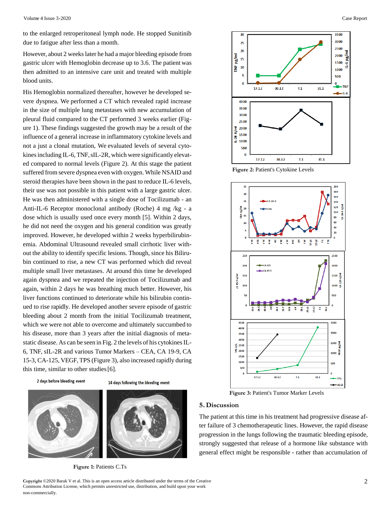to the enlarged retroperitoneal lymph node. He stopped Sunitinib due to fatigue after less than a month.

However, about 2 weekslater he had a major bleeding episode from gastric ulcer with Hemoglobin decrease up to 3.6. The patient was then admitted to an intensive care unit and treated with multiple blood units.

His Hemoglobin normalized thereafter, however he developed severe dyspnea. We performed a CT which revealed rapid increase in the size of multiple lung metastases with new accumulation of pleural fluid compared to the CT performed 3 weeks earlier (Figure 1). These findings suggested the growth may be a result of the influence of a general increase in inflammatory cytokine levels and not a just a clonal mutation, We evaluated levels of several cytokines including IL-6, TNF, sIL-2R, which were significantly elevated compared to normal levels (Figure 2). At this stage the patient suffered from severe dyspnea even with oxygen. While NSAID and steroid therapies have been shown in the past to reduce IL-6 levels, their use was not possible in this patient with a large gastric ulcer. He was then administered with a single dose of Tocilizumab - an Anti-IL-6 Receptor monoclonal antibody (Roche) 4 mg /kg - a dose which is usually used once every month [5]. Within 2 days, he did not need the oxygen and his general condition was greatly improved. However, he developed within 2 weeks hyperbilirubinemia. Abdominal Ultrasound revealed small cirrhotic liver without the ability to identify specific lesions. Though, since his Bilirubin continued to rise, a new CT was performed which did reveal multiple small liver metastases. At around this time he developed again dyspnea and we repeated the injection of Tocilizumab and again, within 2 days he was breathing much better. However, his liver functions continued to deteriorate while his bilirubin continued to rise rapidly. He developed another severe episode of gastric bleeding about 2 month from the initial Tocilizumab treatment, which we were not able to overcome and ultimately succumbed to his disease, more than 3 years after the initial diagnosis of metastatic disease. As can be seen in Fig. 2 the levels of his cytokines IL-6, TNF, sIL-2R and various Tumor Markers – CEA, CA 19-9, CA 15-3, CA-125, VEGF, TPS (Figure 3), also increased rapidly during this time, similar to other studies[6].

2 days before bleeding event









 **Figure 1:** Patients C.Ts

 $\overline{30}$  $3500$ 3000  $25$ 2500 20 L-6 pg/m 2000 TNF pg/ml  $15$ 1500  $10$ 1000 5 500  $\overline{0}$  $\mathbf{0}$  $17.12$  $30.12$  $7.1$  $31.1$  $-11-6$ 4000 3500 3000 2500 Š 2000 1500  $\frac{1}{2}$ 1000 500  $17.12$  $30.12$  $7.1$  $31.1$ 

 **Figure 2:** Patient's Cytokine Levels



 **Figure 3:** Patient's Tumor Marker Levels

### **5.Discussion**

The patient at this time in his treatment had progressive disease after failure of 3 chemotherapeutic lines. However, the rapid disease progression in the lungs following the traumatic bleeding episode, strongly suggested that release of a hormone like substance with general effect might be responsible - rather than accumulation of

**Copyright ©2020 Barak V et al. This is an open access article distributed under the terms of the Creative 2** Commons Attribution License, which permits unrestricted use, distribution, and build upon your work non-commercially.